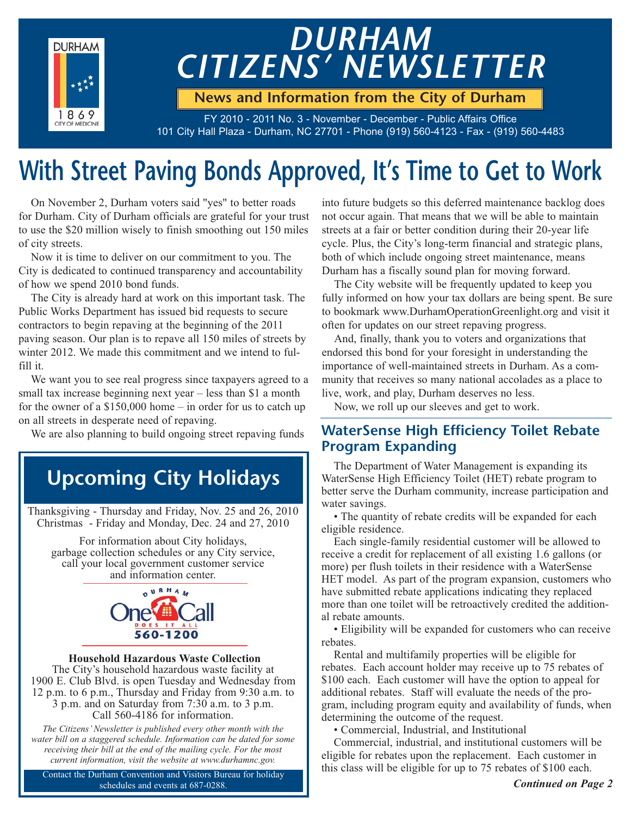

# *DURHAM CITIZENS' NEWSLETTER*

**News and Information from the City of Durham**

FY 2010 - 2011 No. 3 - November - December - Public Affairs Office 101 City Hall Plaza - Durham, NC 27701 - Phone (919) 560-4123 - Fax - (919) 560-4483

## **With Street Paving Bonds Approved, It's Time to Get to Work**

On November 2, Durham voters said "yes" to better roads for Durham. City of Durham officials are grateful for your trust to use the \$20 million wisely to finish smoothing out 150 miles of city streets.

Now it is time to deliver on our commitment to you. The City is dedicated to continued transparency and accountability of how we spend 2010 bond funds.

The City is already hard at work on this important task. The Public Works Department has issued bid requests to secure contractors to begin repaving at the beginning of the 2011 paving season. Our plan is to repave all 150 miles of streets by winter 2012. We made this commitment and we intend to fulfill it.

We want you to see real progress since taxpayers agreed to a small tax increase beginning next year – less than \$1 a month for the owner of a \$150,000 home – in order for us to catch up on all streets in desperate need of repaving.

We are also planning to build ongoing street repaving funds

## **Upcoming City Holidays**

Thanksgiving - Thursday and Friday, Nov. 25 and 26, 2010 Christmas - Friday and Monday, Dec. 24 and 27, 2010

For information about City holidays, garbage collection schedules or any City service, call your local government customer service and information center.



#### **Household Hazardous Waste Collection**

The City's household hazardous waste facility at 1900 E. Club Blvd. is open Tuesday and Wednesday from 12 p.m. to 6 p.m., Thursday and Friday from 9:30 a.m. to 3 p.m. and on Saturday from 7:30 a.m. to 3 p.m. Call 560-4186 for information.

*The Citizens' Newsletter is published every other month with the water bill on a staggered schedule. Information can be dated for some receiving their bill at the end of the mailing cycle. For the most current information, visit the website at www.durhamnc.gov.*

Contact the Durham Convention and Visitors Bureau for holiday schedules and events at 687-0288.

into future budgets so this deferred maintenance backlog does not occur again. That means that we will be able to maintain streets at a fair or better condition during their 20-year life cycle. Plus, the City's long-term financial and strategic plans, both of which include ongoing street maintenance, means Durham has a fiscally sound plan for moving forward.

The City website will be frequently updated to keep you fully informed on how your tax dollars are being spent. Be sure to bookmark www.DurhamOperationGreenlight.org and visit it often for updates on our street repaving progress.

And, finally, thank you to voters and organizations that endorsed this bond for your foresight in understanding the importance of well-maintained streets in Durham. As a community that receives so many national accolades as a place to live, work, and play, Durham deserves no less.

Now, we roll up our sleeves and get to work.

#### **WaterSense High Efficiency Toilet Rebate Program Expanding**

The Department of Water Management is expanding its WaterSense High Efficiency Toilet (HET) rebate program to better serve the Durham community, increase participation and water savings.

• The quantity of rebate credits will be expanded for each eligible residence.

Each single-family residential customer will be allowed to receive a credit for replacement of all existing 1.6 gallons (or more) per flush toilets in their residence with a WaterSense HET model. As part of the program expansion, customers who have submitted rebate applications indicating they replaced more than one toilet will be retroactively credited the additional rebate amounts.

• Eligibility will be expanded for customers who can receive rebates.

Rental and multifamily properties will be eligible for rebates. Each account holder may receive up to 75 rebates of \$100 each. Each customer will have the option to appeal for additional rebates. Staff will evaluate the needs of the program, including program equity and availability of funds, when determining the outcome of the request.

• Commercial, Industrial, and Institutional

Commercial, industrial, and institutional customers will be eligible for rebates upon the replacement. Each customer in this class will be eligible for up to 75 rebates of \$100 each.